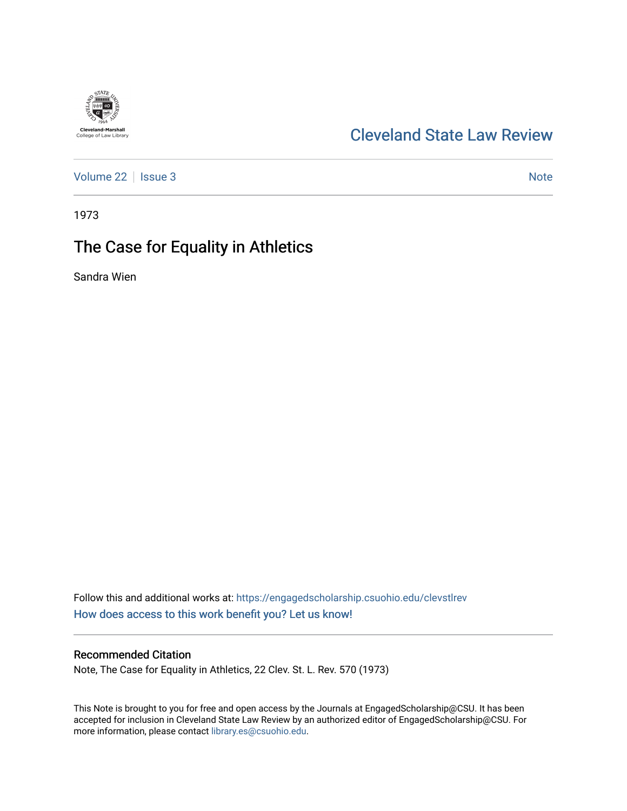# **Cleveland-Marshall**<br>College of Law Library

# [Cleveland State Law Review](https://engagedscholarship.csuohio.edu/clevstlrev)

[Volume 22](https://engagedscholarship.csuohio.edu/clevstlrev/vol22) | [Issue 3](https://engagedscholarship.csuohio.edu/clevstlrev/vol22/iss3) Note

1973

# The Case for Equality in Athletics

Sandra Wien

Follow this and additional works at: [https://engagedscholarship.csuohio.edu/clevstlrev](https://engagedscholarship.csuohio.edu/clevstlrev?utm_source=engagedscholarship.csuohio.edu%2Fclevstlrev%2Fvol22%2Fiss3%2F12&utm_medium=PDF&utm_campaign=PDFCoverPages) [How does access to this work benefit you? Let us know!](http://library.csuohio.edu/engaged/)

# Recommended Citation

Note, The Case for Equality in Athletics, 22 Clev. St. L. Rev. 570 (1973)

This Note is brought to you for free and open access by the Journals at EngagedScholarship@CSU. It has been accepted for inclusion in Cleveland State Law Review by an authorized editor of EngagedScholarship@CSU. For more information, please contact [library.es@csuohio.edu](mailto:library.es@csuohio.edu).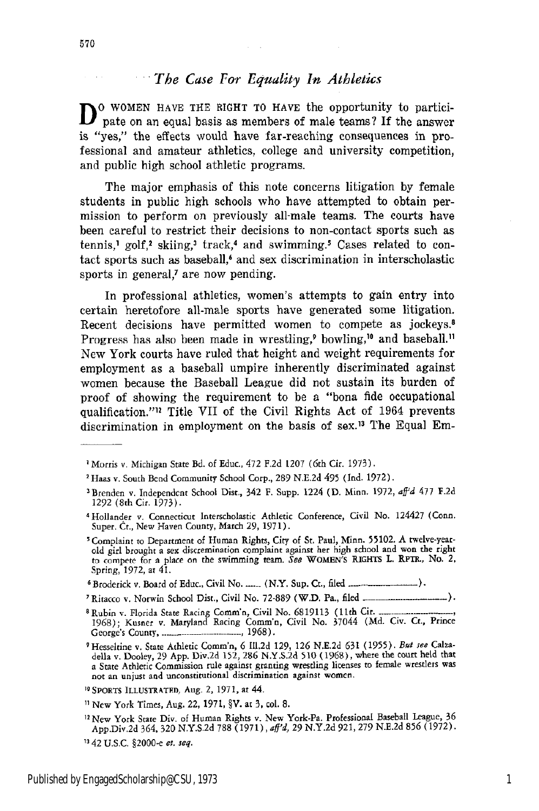## **...** *The Case For Equality In Athletics*

**D** O WOMEN HAVE THE RIGHT TO HAVE the opportunity to partici-D pate on an equal basis as members of male teams? If the answer is "yes," the effects would have far-reaching consequences in professional and amateur athletics, college and university competition, and public high school athletic programs.

The major emphasis of this note concerns litigation by female students in public high schools who have attempted to obtain permission to perform on previously all-male teams. The courts have been careful to restrict their decisions to non-contact sports such as tennis,<sup>1</sup> golf,<sup>2</sup> skiing,<sup>3</sup> track,<sup>4</sup> and swimming.<sup>5</sup> Cases related to contact sports such as baseball,' and sex discrimination in interscholastic sports in general,<sup>7</sup> are now pending.

In professional athletics, women's attempts to gain entry into certain heretofore all-male sports have generated some litigation. Recent decisions have permitted women to compete as jockeys.<sup>8</sup> Progress has also been made in wrestling,<sup> $\theta$ </sup> bowling,<sup> $\theta$ </sup> and baseball.<sup>11</sup> New York courts have ruled that height and weight requirements for employment as a baseball umpire inherently discriminated against women because the Baseball League did not sustain its burden of proof of showing the requirement to be a "bona fide occupational qualification."12 Title VII of the Civil Rights Act of 1964 prevents discrimination in employment on the basis of sex.12 The Equal Em-

- <sup>7</sup> Ritacco v. Norwin School Dist., Civil No. 72-889 (W.D. Pa., filed ........
- **<sup>8</sup>**Rubin v. Florida State Racing Comm'n, Civil No. 6819113 (11th Cit. 1968); Kusner v. Maryland Racing Comm'n, Civil No. 37044 (Md. Civ. Ct., Prince George's County ,............. **-** ...- ........ 1968).

<sup>&</sup>lt;sup>1</sup> Morris v. Michigan State Bd. of Educ., 472 F.2d 1207 (6th Cir. 1973).

<sup>&</sup>lt;sup>2</sup> Haas v. South Bend Community School Corp., 289 N.E.2d 495 (Ind. 1972).

<sup>&</sup>lt;sup>3</sup> Brenden v. Independent School Dist., 342 F. Supp. 1224 (D. Minn. 1972, aff'd 477 F.2d 1292 (8th Cir. 1973).

<sup>4</sup>Hollander v. Connecticut Interscholastic Athletic Conference, Civil No. 124427 (Conn. Super. Ct., New Haven County, March 29, 1971).

<sup>&#</sup>x27;Complaint to Department of Human Rights, City of St. Paul, Minn. **55102.** A twelve-yearold girl brought a sex discremination complaint against her high school and won the right to compete for a place on the swimming team. *See* WOMEN'S RIGHTS L. RPTR., No. 2, Spring, 1972, at 41.

**<sup>6</sup>** Broderick v. Board of Educ., Civil No .....-(N.Y. Sup. Ct., filed.... 

**<sup>9</sup>** Hesseltine v. State Athletic Comm'n, 6 ll.2d 129, **126** N.E.2d **631** (1955). *Bet see* Calza-della v. Dooley, 29 App. Div.2d 152, 286 N.Y.S.2d **510** (1968), where the court held that a State Athletic Commission rule against granting wrestling licenses to female wrestlers was not an unjust and unconstitutional discrimination against women.

<sup>&</sup>lt;sup>10</sup> SPORTS ILLUSTRATED, Aug. 2, 1971, at 44.

<sup>&</sup>quot; New York Times, Aug. 22, 1971, §V. at **3,** col. **8.**

<sup>&</sup>quot;2New York State Div. of Human Rights v. New York-Pa. Professional Baseball League, 36 App.Div.2d 364. 320 N.Y.S.2d 788 (1971), *afl'd,* 29 N.Y.2d 921, 279 N.E.2d 856 (1972). 342 U.S.C. §2000-c *et. seq.*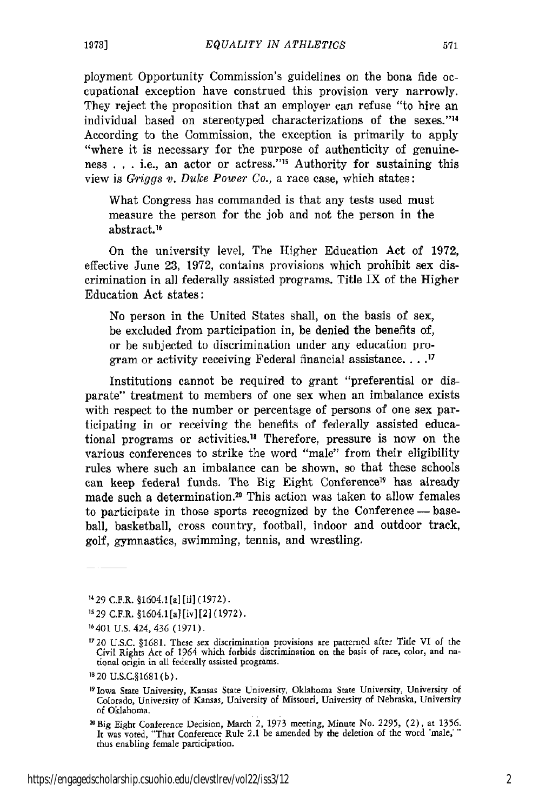ployment Opportunity Commission's guidelines on the bona fide occupational exception have construed this provision very narrowly. They reject the proposition that an employer can refuse "to hire an individual based on stereotyped characterizations of the sexes."<sup>14</sup> According to the Commission, the exception is primarily to apply "where it is necessary for the purpose of authenticity of genuineness **,** . . i.e., an actor or actress."1 Authority for sustaining this view is *Griggs v. Duke Power Co.,* a race case, which states:

What Congress has commanded is that any tests used must measure the person for the job and not the person in the abstract.<sup>16</sup>

On the university level, The Higher Education Act of 1972, effective June 23, 1972, contains provisions which prohibit sex discrimination in all federally assisted programs. Title IX of the Higher Education Act states:

No person in the United States shall, on the basis of sex, be excluded from participation in, be denied the benefits of, or be subjected to discrimination under any education program or activity receiving Federal financial assistance **.... 1**

Institutions cannot be required to grant "preferential or disparate" treatment to members of one sex when an imbalance exists with respect to the number or percentage of persons of one sex participating in or receiving the benefits of federally assisted educational programs or activities.<sup>18</sup> Therefore, pressure is now on the various conferences to strike the word "male" from their eligibility rules where such an imbalance can be shown, so that these schools can keep federal funds. The Big Eight Conference<sup>19</sup> has already made such a determination.<sup>20</sup> This action was taken to allow females to participate in those sports recognized by the Conference - baseball, basketball, cross country, football, indoor and outdoor track, golf, gymnastics, swimming, tennis, and wrestling.

1429 C.F.R. §1604.1 [a] [ii] (1972).

**s 29** C.F.R. §1604.1 **[a]** [ivl [21 (1972).

**16401** U.S. 424, 436 (1971).

1820 U.S.C.§1681 (b).

19Iowa State University, Kansas State University, Oklahoma State University, University **of** Colorado, University of Kansas, University of Missouri, University of Nebraska, University of Oklahoma.

**T720** U.S.C. §1681. These sex discrimination provisions are patterned after Tide VI of the Civil Rights Act of 1964 which forbids discrimination on the basis of race, color, and na- tional origin in all federally assisted programs.

<sup>2</sup>aBig Eight Conference Decision, March 2, 1973 meeting, Minute No. 2295, (2), at 1356. It was voted, "That Conference Rule 2.1 be amended by the deletion of the word 'male,'" thus enabling female participation.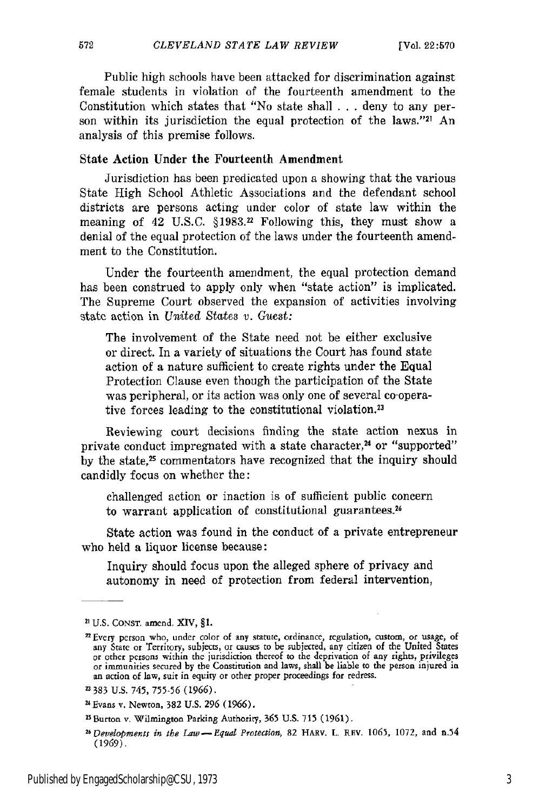Public high schools have been attacked for discrimination against female students in violation of the fourteenth amendment to the Constitution which states that "No state shall . . . deny to any person within its jurisdiction the equal protection of the laws."21 An analysis of this premise follows.

## State Action Under the Fourteenth Amendment

Jurisdiction has been predicated upon a showing that the various State High School Athletic Associations and the defendant school districts are persons acting under color of state law within the meaning of 42 U.S.C. §1983.22 Following this, they must show a denial of the equal protection of the laws under the fourteenth amendment to the Constitution.

Under the fourteenth amendment, the equal protection demand has been construed to apply only when "state action" is implicated. The Supreme Court observed the expansion of activities involving state action in United States v. Guest:

The involvement of the State need not be either exclusive or direct. In a variety of situations the Court has found state action of a nature sufficient to create rights under the Equal Protection Clause even though the participation of the State was peripheral, or its action was only one of several co-operative forces leading to the constitutional violation.23

Reviewing court decisions finding the state action nexus in private conduct impregnated with a state character,<sup>24</sup> or "supported" by the state," commentators have recognized that the inquiry should candidly focus on whether the:

challenged action or inaction is of sufficient public concern to warrant application of constitutional guarantees.<sup>26</sup>

State action was found in the conduct of a private entrepreneur who held a liquor license because:

Inquiry should focus upon the alleged sphere of privacy and autonomy in need of protection from federal intervention,

<sup>21</sup> U.S. **CONST.** amend. XIV, **§1.**

<sup>&</sup>lt;sup>22</sup> Every person who, under color of any statute, ordinance, regulation, custom, or usage, of any State or Territory, subjects, or causes to be subjected, any citizen of the United States or tother persons within the juri an action of law, suit in equity or other proper proceedings for redress.

<sup>383</sup> U.S. 745, 755-56 (1966).

<sup>&</sup>lt;sup>24</sup> Evans v. Newton, 382 U.S. 296 (1966).

<sup>25</sup> Burton v. Wilmington Parking Authority, 365 U.S. **715 (1961).**

*<sup>2</sup>Developments in* the *Law -Equal Protection,* 82 HARV. L. RFv. 1065, 1072, and n.54 **(1969).**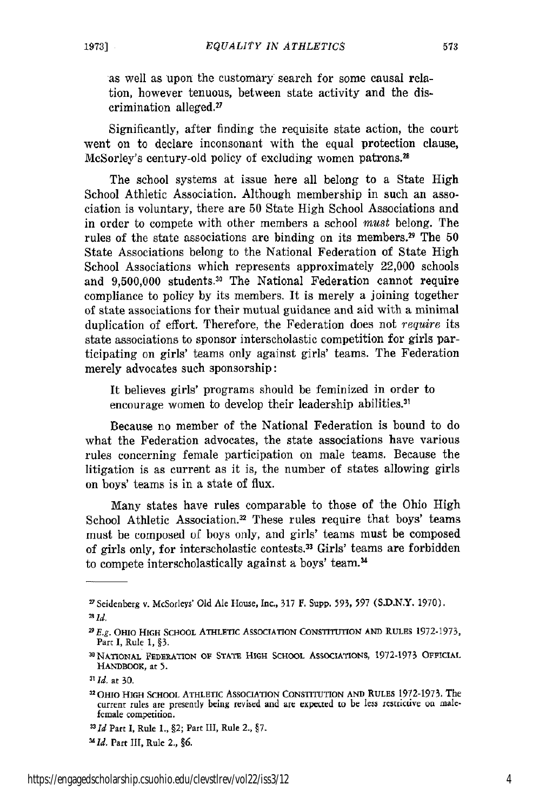as well as upon the customary search for some causal relation, however tenuous, between state activity and the discrimination alleged.27

Significantly, after finding the requisite state action, the court went on to declare inconsonant with the equal protection clause, McSorley's century-old policy of excluding women patrons.2

The school systems at issue here all belong to a State High School Athletic Association. Although membership in such an association is voluntary, there are 50 State High School Associations and in order to compete with other members a school *must* belong. The rules of the state associations are binding on its members.<sup>29</sup> The  $50$ State Associations belong to the National Federation of State High School Associations which represents approximately 22,000 schools and 9,500,000 students.30 The National Federation cannot require compliance to policy by its members. It is merely a joining together of state associations for their mutual guidance and aid with a minimal duplication of effort. Therefore, the Federation does not *require* its state associations to sponsor interscholastic competition for girls participating on girls' teams only against girls' teams. The Federation merely advocates such sponsorship:

It believes girls' programs should be feminized in order to encourage women to develop their leadership abilities.

Because no member of the National Federation is bound to do what the Federation advocates, the state associations have various rules concerning female participation on male teams. Because the litigation is as current as it is, the number of states allowing girls on boys' teams is in a state of flux.

Many states have rules comparable to those of the Ohio High School Athletic Association.<sup>32</sup> These rules require that boys' teams must be composed of boys only, and girls' teams must be composed of girls only, for interscholastic contests.3 Girls' teams are forbidden to compete interscholastically against a boys' team.<sup>34</sup>

**32 OHo** HIGH SCHOOL ATHLETIC ASSOCIATION CONSTITUTION **AND RULES** 1972-1973. The current rules are presently being revised and are experted to be less restrictive on malefemale competition.

**'Id.** Part III, Rule 2., *§6.*

<sup>&</sup>quot;Seidenberg v. McSorleys' Old Ale House, Inc., 317 F. Supp. 593, **597** (S.D.N.Y. 1970).

**<sup>2</sup>Id.**

*<sup>29</sup> E.g.* **OHIO HIGH SCHOOL ATHLETIC ASSOCIATION** CONSTITUTION **AND RULES 1972-1973,** Part I, Rule **1,** §3.

<sup>&</sup>lt;sup>30</sup> NATIONAL FEDERATION OF STATE HIGH SCHOOL ASSOCIATIONS, 1972-1973 OFFICIAL **HANDBOOK,** at **5.**

**<sup>311</sup>I.** at 30.

**<sup>33</sup>** *d* Part **I,** Rule 1., §2; Part **III,** Rule 2., §7.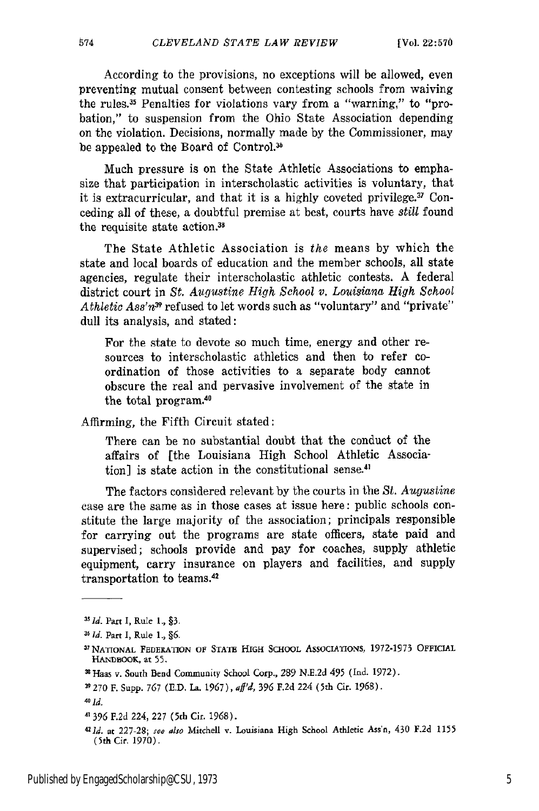According to the provisions, no exceptions will be allowed, even preventing mutual consent between contesting schools from waiving the rules.3 Penalties for violations vary from a "warning," to "probation," to suspension from the Ohio State Association depending on the violation. Decisions, normally made by the Commissioner, may be appealed to the Board of Control.<sup>36</sup>

Much pressure is on the State Athletic Associations to emphasize that participation in interscholastic activities is voluntary, that it is extracurricular, and that it is a highly coveted privilege.3 Conceding all of these, a doubtful premise at best, courts have *still* found the requisite state action.<sup>38</sup>

The State Athletic Association is *the* means by which the state and local boards of education and the member schools, all state agencies, regulate their interscholastic athletic contests. A federal district court in *St. Augustine High School v. Louisiana High School Athletic Ass'n39* refused to let words such as "voluntary" and "private" dull its analysis, and stated:

For the state to devote so much time, energy and other resources to interscholastic athletics and then to refer coordination of those activities to a separate body cannot obscure the real and pervasive involvement of the state in the total program. 4

Affirming, the Fifth Circuit stated:

There can be no substantial doubt that the conduct of the affairs of [the Louisiana High School Athletic Association] is state action in the constitutional sense.<sup>41</sup>

The factors considered relevant by the courts in the St. *Augustine* case are the same as in those cases at issue here: public schools constitute the large majority of the association; principals responsible for carrying out the programs are state officers, state paid and supervised; schools provide and pay for coaches, supply athletic equipment, carry insurance on players and facilities, and supply transportation to teams.<sup>4</sup>

**<sup>35</sup>J** *d.* Part **I,** Rule 1, **§3,**

*<sup>36</sup>d.* Part I, Rule 1, §6.

**<sup>3</sup> 7** NATIONAL **FEDERATION** OF STATE HIGH SCHOOL ASSOCIATIONS, 1972-1973 **OFFICIAL** HANDBOOK, **at 55.**

**<sup>1</sup>** Haas v. South Bend Community School Corp., 289 **N.E.2d** 495 (Ind. 1972).

**<sup>39</sup>** 270 F. Supp. **767** (E.D. La. **1967),** *af'd,* **396** F.2d 224 (5th Cir. 1968).

**<sup>41</sup>d.**

<sup>4&#</sup>x27;396 **F.2d** 224, 227 (5th Cir. 1968).

*<sup>421</sup>d.* at 227-28; **see** also Mitchell v. Louisiana High School Athletic Ass'n, 430 F.2d 1155 (Sth Cir. 1970).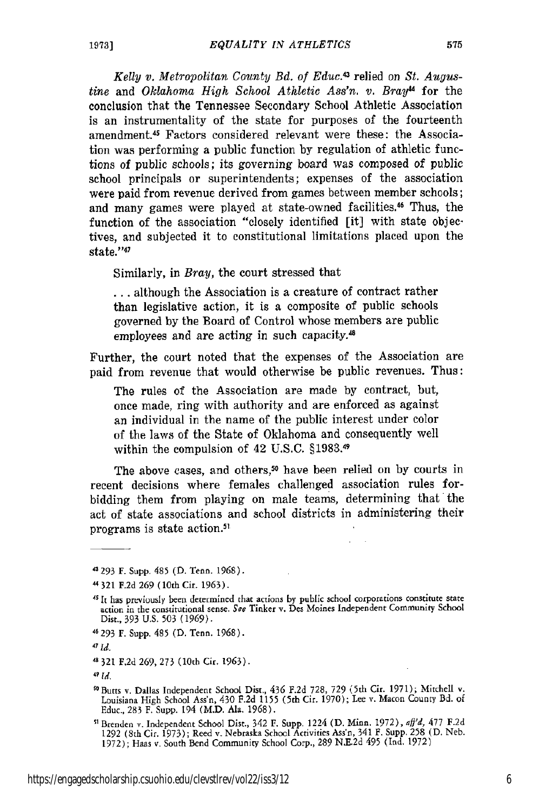*Kelly v. Metropolitan County Bd. of Educ.<sup>3</sup>*relied on *St. Augustine* and *Oklahoma High School Athletic Ass'n. v. Bray"* for the conclusion that the Tennessee Secondary School Athletic Association is an instrumentality of the state for purposes of the fourteenth amendment.<sup>45</sup> Factors considered relevant were these: the Association was performing a public function by regulation of athletic functions of public schools; its governing board was composed of public school principals or superintendents; expenses of the association were paid from revenue derived from games between member schools; and many games were played at state-owned facilities.46 Thus, the function of the association "closely identified [it] with state objectives, and subjected it to constitutional limitations placed upon the state."4'

Similarly, in *Bray,* the court stressed that

**...** although the Association is a creature of contract rather than legislative action, it is a composite of public schools governed by the Board of Control whose members are public employees and are acting in such capacity.<sup>48</sup>

Further, the court noted that the expenses of the Association are paid from revenue that would otherwise be public revenues. Thus:

The rules of the Association are made by contract, but, once made, ring with authority and are enforced as against an individual in the name of the public interest under color of the laws of the State of Oklahoma and consequently well within the compulsion of 42 U.S.C. §1983.49

The above cases, and others,<sup>50</sup> have been relied on by courts in recent decisions where females challenged association rules forbidding them from playing on male teams, determining that the act of state associations and school districts in administering their programs is state action.<sup>51</sup>

46293 F. Supp. 485 (D. Tenn. 1968).

<sup>&</sup>quot;293 F. Supp. 485 (D. Tenn. 1968).

**<sup>321</sup> F.2d** 269 (10th Cit. 1963).

*<sup>45</sup>* **It** has previously been determined that actions by public school corporations constitute state action in the constitutional sense, *See* Tinker v. Des Moines Independent Community School Dist., 393 U.S. 503 (1969).

*<sup>47</sup> Ird,*

**<sup>-321</sup> F.2d** 269, 273 (10th Cir. 1963).

*<sup>&</sup>quot;Id.*

<sup>&</sup>quot;Butts v. Dallas Independent School Dist., 436 F.2d 728, **729** (5th Cit. **1971);** Mitchell v. Louisiana High School Ass'n, 430 F.2d 1155 (5th Cit. 1970); Lee v. Macon County Bd. of Educ., 283 F. Supp. 194 (M.D. Ala, 1968).

sBrenden v. Independent School Dist., 342 F. Supp. 1224 (D. Minn. 1972), *afj'd,* **477 F.2d** 1292 (8th Cir. 1973); Reed v. Nebraska School Activities Ass'n, 341 F. Supp. 258 (D. Neb. 1972); Haas v. South Bend Community School Corp., 289 N.E.2d 495 (Ind. 1972)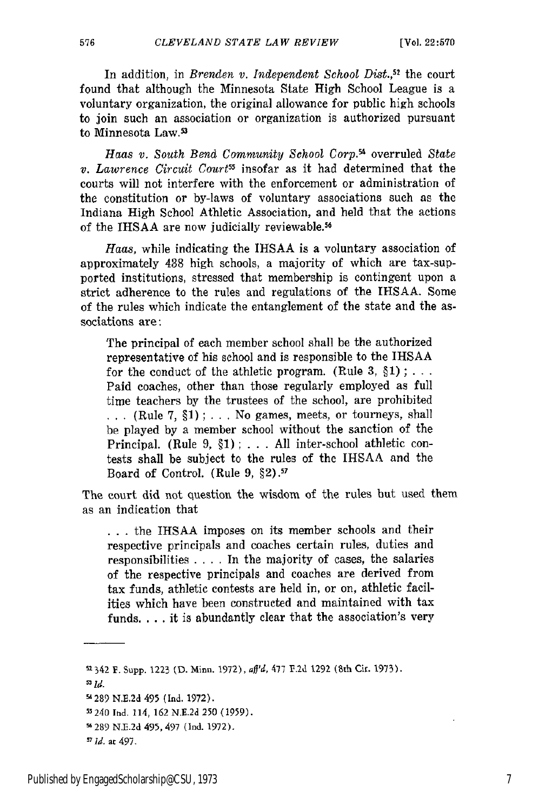In addition, in *Brenden v. Independent School Dist.*,<sup>52</sup> the court found that although the Minnesota State High School League is a voluntary organization, the original allowance for public high schools to join such an association or organization is authorized pursuant to Minnesota Law.<sup>53</sup>

*Haas v. South Bend Community School Corp.54* overruled *State v. Lawrence Circuit Courts'* insofar as it had determined that the courts will not interfere with the enforcement or administration of the constitution or by-laws of voluntary associations such as the Indiana High School Athletic Association, and held that the actions of the IHSAA are now judicially reviewable.<sup>56</sup>

*Haas,* while indicating the IHSAA is a voluntary association of approximately 438 high schools, a majority of which are tax-supported institutions, stressed that membership is contingent upon a strict adherence to the rules and regulations of the IHSAA. Some of the rules which indicate the entanglement of the state and the associations are:

The principal of each member school shall be the authorized representative of his school and is responsible to the IHSAA for the conduct of the athletic program. (Rule  $3, \S 1$ ); ... Paid coaches, other than those regularly employed as full time teachers by the trustees of the school, are prohibited **I . .** (Rule 7, §1) ; . . . No games, meets, or tourneys, shall be played **by** a member school without the sanction of the Principal. (Rule 9, §1); . . . All inter-school athletic contests shall be subject to the rules of the IHSAA and the Board of Control. (Rule 9, §2).<sup>57</sup>

The court did not question the wisdom of the rules but used them as an indication that

**.. .** the IHSAA imposes on its member schools and their respective principals and coaches certain rules, duties and responsibilities .... In the majority of cases, the salaries of the respective principals and coaches are derived from tax funds, athletic contests are held in, or on, athletic facilities which have been constructed and maintained with tax funds. . . . it is abundantly clear that the association's very

<sup>5342</sup> *F.* Supp. **1223 (D.** Minn. **1972),** aJ'd, 477 T.2d 1292 (5th Cir. 1973).

**M id.**

**s289** N.E.2d 495 (Ind. 1972).

s'240 Ind. 114, 162 N.E.2d **250** (1959).

**s289** N.E.2d 495, 497 (Ind. 1972).

*Id.* **at** 497.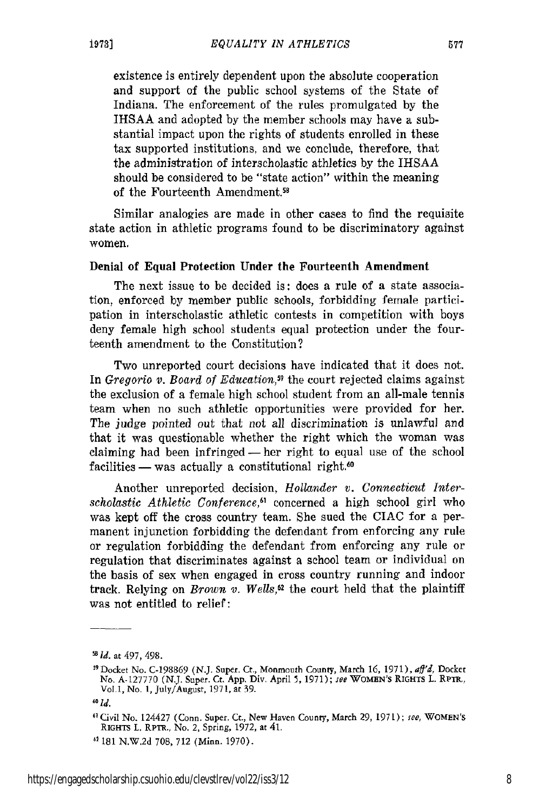existence is entirely dependent upon the absolute cooperation and support of the public school systems of the State of Indiana. The enforcement of the rules promulgated by the IHSAA and adopted by the member schools may have a substantial impact upon the rights of students enrolled in these tax supported institutions, and we conclude, therefore, that the administration of interscholastic athletics by the IHSAA

should be considered to be "state action" within the meaning of the Fourteenth Amendment.<sup>58</sup>

Similar analogies are made in other cases to find the requisite state action in athletic programs found to be discriminatory against women.

#### Denial of Equal Protection Under the Fourteenth Amendment

The next issue to be decided is: does a rule of a state association, enforced by member public schools, forbidding female participation in interscholastic athletic contests in competition with boys deny female high school students equal protection under the fourteenth amendment to the Constitution?

Two unreported court decisions have indicated that it does not. In *Gregorio v. Board of Education,59* the court rejected claims against the exclusion of a female high school student from an all-male tennis team when no such athletic opportunities were provided for her. The judge pointed out that not all discrimination is unlawful and that it was questionable whether the right which the woman was claiming had been infringed- her right to equal use of the school  $facilities - was actually a$  constitutional right.<sup>60</sup>

Another unreported decision, *Hollander v. Connecticut Interscholastic Athletic Conference*,<sup>61</sup> concerned a high school girl who was kept off the cross country team. She sued the CIAC for a permanent injunction forbidding the defendant from enforcing any rule or regulation forbidding the defendant from enforcing any rule or regulation that discriminates against a school team or individual on the basis of sex when engaged in cross country running and indoor track. Relying on *Brown v. Wells,62* the court held that the plaintiff was not entitled to relief:

1973]

*<sup>5</sup>Id.* at 497, 498.

<sup>&</sup>lt;sup>59</sup> Docket No. C-198869 (N.J. Super. Ct., Monmouth County, March 16, 1971), aff'd, Docket No. A-127770 (N.J. Super. Ct. App. Div. April 5, 1971); *see* WOMEN'S RIGHTS L. RPTR., Vol 1, No- 1, July/August, 1971, at **39.**

*<sup>60</sup> Id.*

<sup>&</sup>quot;Civil No. 124427 (Conn. Super. Ct., New Haven County, March 29, 1971); *fee,* WOMEN'S RIGHTS L. RPTR., No. 2, Spring, 1972, at 41.

<sup>&</sup>quot;181 N.W.2d 708, 712 (Minn. 1970).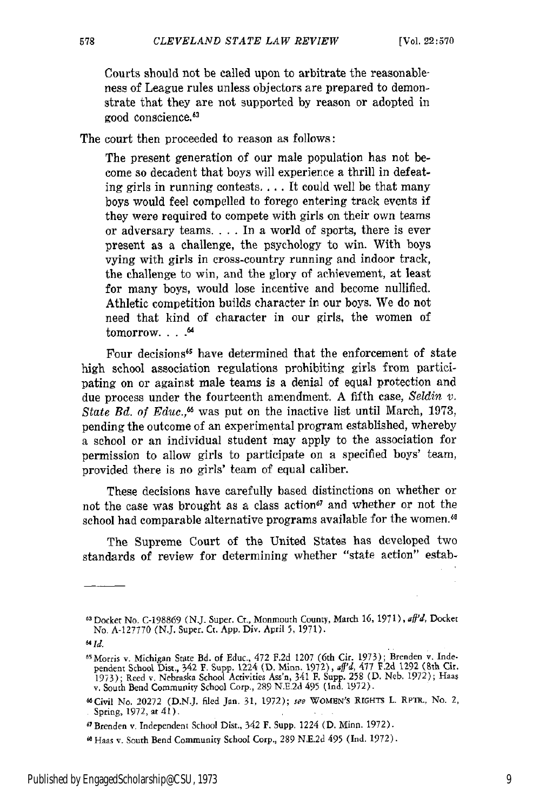Courts should not be called upon to arbitrate the reasonableness of League rules unless objectors are prepared to demonstrate that they are not supported by reason or adopted in good conscience.<sup>63</sup>

The court then proceeded to reason as follows:

The present generation of our male population has not become so decadent that boys will experience a thrill in defeating girls in running contests.... It could well be that many boys would feel compelled to forego entering track events if they were required to compete with girls on their own teams or adversary teams **....** In a world of sports, there is ever present as a challenge, the psychology to win. With boys vying with girls in cross-country running and indoor track, the challenge to win, and the glory of achievement, at least for many boys, would lose incentive and become nullified. Athletic competition builds character in our boys. We do not need that kind of character in our girls, the women of tomorrow. . . . . . <sup>64</sup>

Four decisions<sup>65</sup> have determined that the enforcement of state high school association regulations prohibiting girls from participating on or against male teams is a denial of equal protection and due process under the fourteenth amendment. A fifth case, *Seldin v. State Bd. of Educ.*,<sup>66</sup> was put on the inactive list until March, 1973, pending the outcome of an experimental program established, whereby a school or an individual student may apply to the association for permission to allow girls to participate on a specified boys' team, provided there is no girls' team of equal caliber.

These decisions have carefully based distinctions on whether or not the case was brought as a class action<sup>67</sup> and whether or not the school had comparable alternative programs available for the women.<sup>68</sup>

The Supreme Court of the United States has developed two standards of review for determining whether "state action" estab-

**<sup>&#</sup>x27;3** Docker No. C-198869 (NJ. Super. Cr., Monmouth County, March **16,** 1971), *afl'd,* Docket No. A-127770 (N.J. Super. Ct. App. Div. April 5, 1971).

*<sup>4</sup>Id.*

<sup>&</sup>lt;sup>65</sup> Morris v. Michigan State Bd. of Educ., 472 F.2d 1207 (6th Cir. 1973); Brenden v. Inde-<br>pendent School Dist., 342 F. Supp. 1224 (D. Minn. 1972), aff'd, 477 F.2d 1292 (8th Cir<br>1973); Reed v. Nebraska School Activities A

<sup>&</sup>quot;Civil No. 20272 (D.N.J. filed Jan. **31,** 1972); **see** WOMEN'S RIGHTS L. RPTR., No. 2, Spring, 1972, at 41).

<sup>&</sup>quot; Brenden v. Independent School Dist., 342 F. Supp. 1224 (D. Minn. 1972).

**<sup>6</sup>** Haas v. South Bend Community School Corp., 289 N.E.2d 495 (Ind. 1972).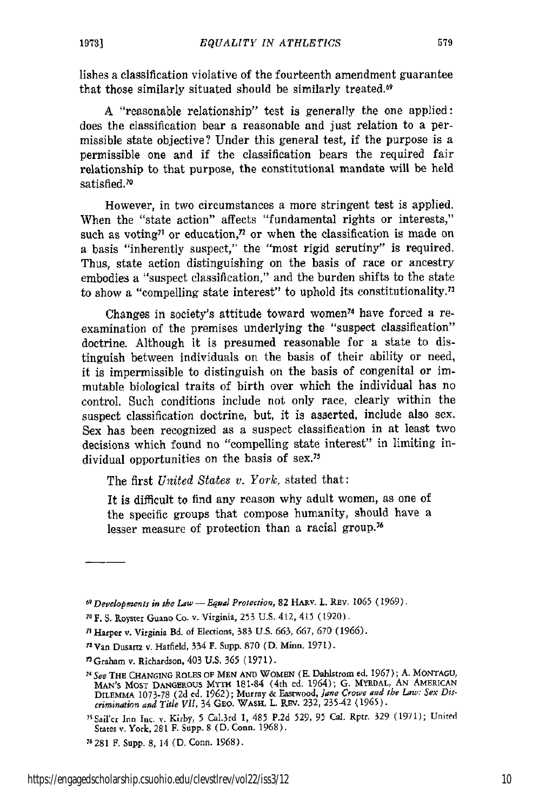lishes a classification violative of the fourteenth amendment guarantee that those similarly situated should be similarly treated.<sup>69</sup>

A "reasonable relationship" test is generally the one applied: does the classification bear a reasonable and just relation to a permissible state objective? Under this general test, if the purpose is a permissible one and if the classification bears the required fair relationship to that purpose, the constitutional mandate will be held satisfied.<sup>70</sup>

However, in two circumstances a more stringent test is applied. When the "state action" affects "fundamental rights or interests," such as voting<sup> $\eta$ </sup> or education,<sup> $\eta$ </sup> or when the classification is made on a basis "inherently suspect," the "most rigid scrutiny" is required. Thus, state action distinguishing on the basis of race or ancestry embodies a "suspect classification," and the burden shifts to the state to show a "compelling state interest" to uphold its constitutionality.<sup>73</sup>

Changes in society's attitude toward women74 have forced a reexamination of the premises underlying the "suspect classification" doctrine. Although it is presumed reasonable for a state to distinguish between individuals on the basis of their ability or need, it is impermissible to distinguish on the basis of congenital or immutable biological traits of birth over which the individual has no control. Such conditions include not only race, clearly within the suspect classification doctrine, but, it is asserted, include also sex. Sex has been recognized as a suspect classification in at least two decisions which found no "compelling state interest" in limiting individual opportunities on the basis of sex.75

The first *United States v. York,* stated that:

It is difficult to find any reason why adult women, as one of the specific groups that compose humanity, should have a lesser measure of protection than a racial group.<sup>76</sup>

*<sup>69</sup> Developments in the Law* - *Equal Protection,* **82** HARV. L. REv. **1065** (1969).

*<sup>70</sup>* **F.** S. Royster Guano Co. v. Virginia, **253** U.S. 412, 415 (1920).

**<sup>71</sup>** Harper v. Virginia Bd. of Elections, 383 U.S. **663, 667, 670** (1966).

**<sup>72</sup>Van** Dusartz v. Hatfield, 334 **F.** Supp. **870** (D. Minn. 1971).

<sup>&</sup>quot;Graham v. Richardson, 403 U.S. *365* (1971).

<sup>74</sup>*See* THE **CHANGING** ROLES **OF MEN AND** WOMEN **(E.** Dahlstrom ed. 1967); A. **MONTAGU,** MAN'S MOST **DANGEROUS** MYTH 181-84 (4th **ed.** 1964); G. MYRDAL, AN AMERICAN DILEMMA 1073-78 (2d ed. **1962);** Murray & Eastwood, *Jane Crowe and the Law; Sex Discrimnation* and *Title VII,* 34 **GEo. WASH.** L. **Ri.** 232, 235-42 (1965).

<sup>&#</sup>x27;Sail'cr Inn Inc. *Y.* Kirby, **5** CaI.3rd 1, 485 P.2d 529, **95** Cal. Rptr. 329 (1971); United States v. York, 281 F. Supp. 8 (D. Conn. 1968).

**<sup>76281</sup>** F. Supp. 8, 14 (D. Conn. 1968).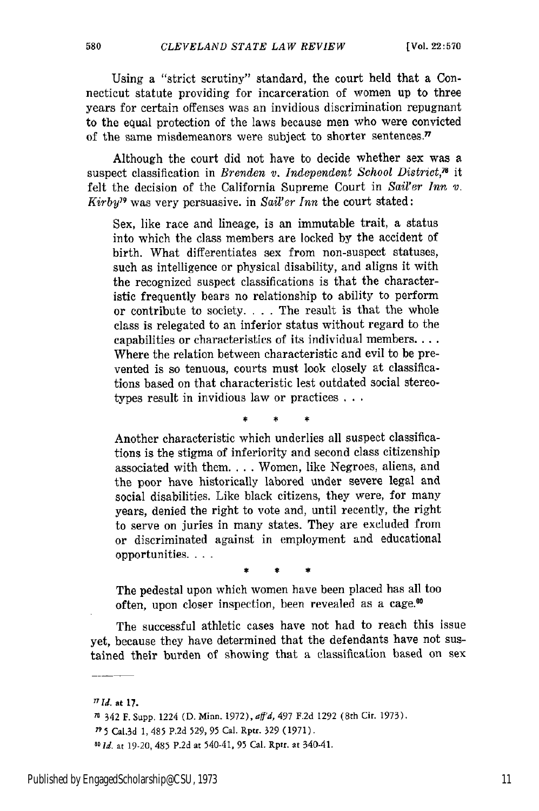Using a "strict scrutiny" standard, the court held that a Connecticut statute providing for incarceration of women up to three years for certain offenses was an invidious discrimination repugnant to the equal protection of the laws because men who were convicted of the same misdemeanors were subject to shorter sentences. $\pi$ 

Although the court did not have to decide whether sex was a suspect classification in *Brenden v. Independent School District*.<sup>78</sup> it felt the decision of the California Supreme Court in *Sail'er Inn V. Kirby"* was very persuasive, in *Sail'er Inn* the court stated:

Sex, like race and lineage, is an immutable trait, a status into which the class members are locked by the accident of birth. What differentiates sex from non-suspect statuses, such as intelligence or physical disability, and aligns it with the recognized suspect classifications is that the characteristic frequently bears no relationship to ability to perform or contribute to society. . **.** . The result is that the whole class is relegated to an inferior status without regard to the capabilities or characteristics of its individual members.... Where the relation between characteristic and evil to be prevented is so tenuous, courts must look closely at classifications based on that characteristic lest outdated social stereotypes result in invidious law or practices **...**

Another characteristic which underlies all suspect classifications is the stigma of inferiority and second class citizenship associated with them **....** Women, like Negroes, aliens, and the poor have historically labored under severe legal and social disabilities. Like black citizens, they were, for many years, denied the right to vote and, until recently, the right to serve on juries in many states. They are excluded from or discriminated against in employment and educational opportunities...

The pedestal upon which women have been placed has all too often, upon closer inspection, been revealed as a cage."°

The successful athletic cases have not had to reach this issue yet, because they have determined that the defendants have not sustained their burden of showing that a classification based on sex

*<sup>77</sup> Id.* at **17.**

**<sup>\*</sup>'** 342 F. Supp. 1224 (D. Minn. 1972), *asj'd,* 497 F.2d 1292 (8th Cir. **1973).**

**<sup>\*</sup>** 5 Ca[.3d 1,485 **P,2d 529, 95** Cal. Rptr. **329** (1971).

*S0 Id.* at 19-20, 485 P.2d at 540-41, **95** Cal. Rptr. at 340-41.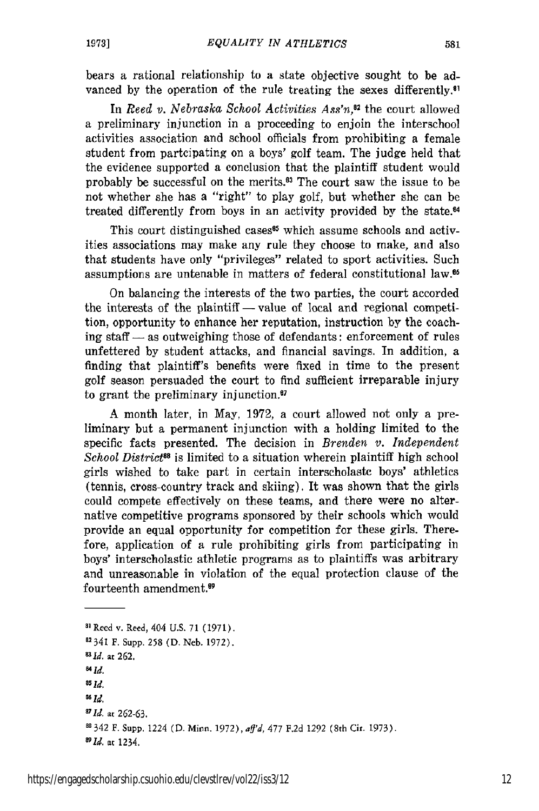bears a rational relationship to a state objective sought to be advanced by the operation of the rule treating the sexes differently.<sup>81</sup>

In *Reed v. Nebraska School Activities Ass'n*<sup>32</sup> the court allowed a preliminary injunction in a proceeding to enjoin the interschool activities association and school officials from prohibiting a female student from parteipating on a boys' golf team. The judge held that the evidence supported a conclusion that the plaintiff student would probably be successful on the merits. $\mathbf{S}^3$  The court saw the issue to be not whether she has a "right" to play golf, but whether she can be treated differently from boys in an activity provided by the state.<sup>64</sup>

This court distinguished cases<sup>85</sup> which assume schools and activities associations may make any rule they choose to make, and also that students have only "privileges" related to sport activities. Such assumptions are untenable in matters of federal constitutional law.<sup>66</sup>

On balancing the interests of the two parties, the court accorded the interests of the plaintiff — value of local and regional competition, opportunity to enhance her reputation, instruction by the coaching staff  $-$  as outweighing those of defendants: enforcement of rules unfettered by student attacks, and financial savings. In addition, a finding that plaintiff's benefits were fixed in time to the present golf season persuaded the court to find sufficient irreparable injury to grant the preliminary injunction.<sup>87</sup>

A month later, in May, 1972, a court allowed not only a preliminary but a permanent injunction with a holding limited to the specific facts presented. The decision in *Brenden v. Independent School District88* is limited to a situation wherein plaintiff high school girls wished to take part in certain interseholaste boys' athletics (tennis, cross-country track and skiing). It was shown that the girls could compete effectively on these teams, and there were no alternative competitive programs sponsored by their schools which would provide an equal opportunity for competition for these girls. Therefore, application of a rule prohibiting girls from participating in boys' interscholastic athletic programs as to plaintiffs was arbitrary and unreasonable in violation of the equal protection clause of the fourteenth amendment.<sup>9</sup>

**Si** Reed v. Reed, 404 U.S. 71 (1971). 2341 F. Supp. 258 (D. Neb. 1972). *I 2 1d.* at 262. *841d. 05 Id. " Id. '1d.* at **262-63. 11342** F. Supp. 1224 (D. Minn. 1972),ay'd, 477 **F.2d** 1292 (8th Cir. 1973). *8 9Id.* at 1234.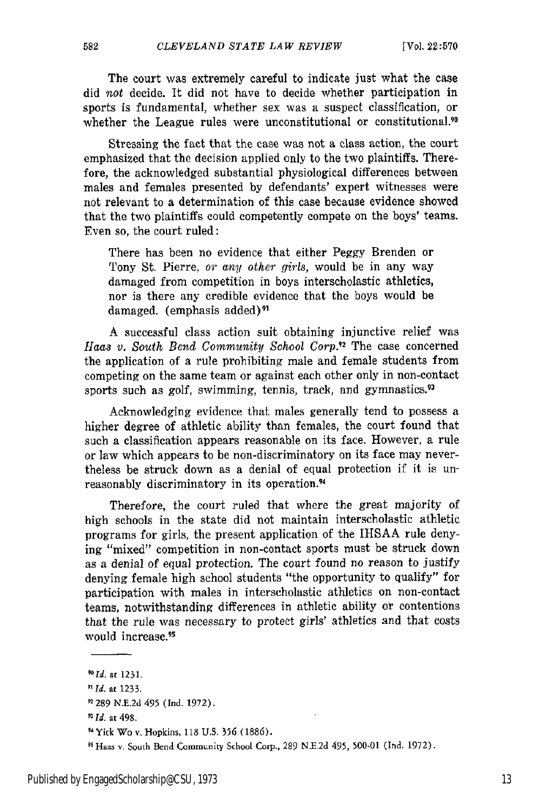The court was extremely careful to indicate just what the case did not decide. It did not have to decide whether participation in sports is fundamental, whether sex was a suspect classification, or whether the League rules were unconstitutional or constitutional.<sup>90</sup>

Stressing the fact that the case was not a class action, the court emphasized that the decision applied only to the two plaintiffs. Therefore, the acknowledged substantial physiological differences between males and females presented by defendants' expert witnesses were not relevant to a determination of this case because evidence showed that the two plaintiffs could competently compete on the boys' teams. Even so, the court ruled:

There has been no evidence that either Peggy Brenden or Tony St. Pierre, *or any other girls,* would be in any way damaged from competition in boys interscholastic athletics, nor is there any credible evidence that the boys would be damaged. (emphasis added)<sup>91</sup>

A successful class action suit obtaining injunctive relief was *Haas v. South Bend Community School Corp.<sup>2</sup>*The case concerned the application of a rule prohibiting male and female students from competing on the same team or against each other only in non-contact sports such as golf, swimming, tennis, track, and gymnastics.<sup>93</sup>

Acknowledging evidence that males generally tend to possess a higher degree of athletic ability than females, the court found that such a classification appears reasonable on its face. However, a rule or law which appears to be non-discriminatory on its face may nevertheless be struck down as a denial of equal protection if it is unreasonably discriminatory in its operation.<sup>94</sup>

Therefore, the court ruled that where the great majority of high schools in the state did not maintain interscholastic athletic programs for girls, the present application of the IIISAA rule denying "mixed" competition in non-contact sports must be struck down as a denial of equal protection. The court found no reason to justify denying female high school students "the opportunity to qualify" for participation with males in interscholastic athletics on non-contact teams, notwithstanding differences in athletic ability or contentions that the rule was necessary to protect girls' athletics and that costs would increase.<sup>95</sup>

582

*91Id.* at 498.

*<sup>&</sup>quot;Id.* at 1231.

*<sup>91</sup> fd.* at 1233.

**<sup>1289</sup>** N.E.2d 495 (Ind. 1972).

<sup>&#</sup>x27; <sup>t</sup> Yick Wo v. Hopkins, 118 U.S. **356** (1886).

<sup>95</sup> Haas v. South Bend Community School Corp., 289 N.E.2d 495, 500-01 (Ind. 1972).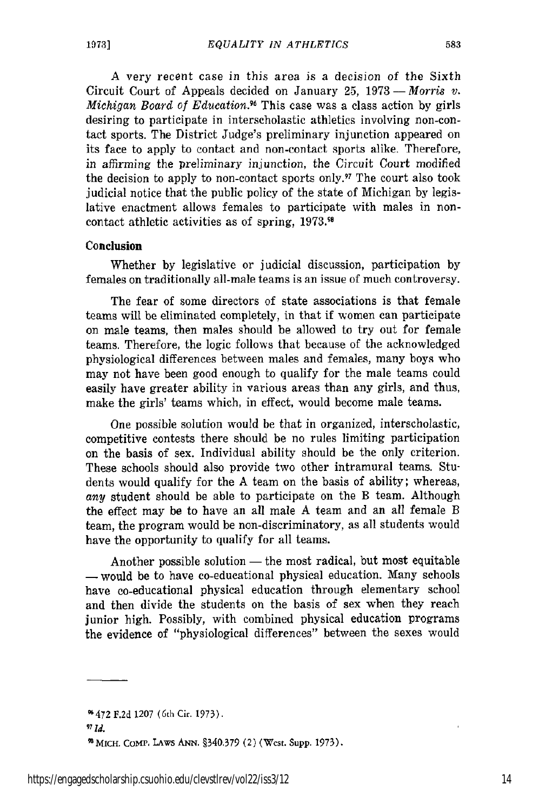583

**A** very recent case in this area is a decision of the Sixth Circuit Court of Appeals decided on January 25,  $1973-Morris$  *v*. *Michigan Board of Education.6* This case was a class action by girls desiring to participate in interscholastic athletics involving non-contact sports. The District Judge's preliminary injunction appeared on its face to apply to contact and non-contact sports alike. Therefore, in affirming the preliminary injunction, the Circuit Court modified the decision to apply to non-contact sports only.<sup>97</sup> The court also took judicial notice that the public policy of the state of Michigan by legislative enactment allows females to participate with males in noncontact athletic activities as of spring, **1973.11**

### Conclusion

Whether by legislative or judicial discussion, participation by females on traditionally all-male teams is an issue of much controversy.

The fear of some directors of state associations is that female teams will be eliminated completely, in that if women can participate on male teams, then males should be allowed to try out for female teams. Therefore, the logic follows that because of the acknowledged physiological differences between males and females, many boys who may not have been good enough to qualify for the male teams could easily have greater ability in various areas than any girls, and thus, make the girls' teams which, in effect, would become male teams.

One possible solution would be that in organized, interscholastic, competitive contests there should be no rules limiting participation on the basis of sex. Individual ability should be the only criterion. These schools should also provide two other intramural teams. Students would qualify for the A team on the basis of ability; whereas, *any* student should be able to participate on the B team. Although the effect may be to have an all male A team and an all female B team, the program would be non-discriminatory, as all students would have the opportunity to qualify for all teams.

Another possible solution  $-$  the most radical, but most equitable - would be to have co-educational physical education. Many schools have co-educational physical education through elementary school and then divide the students on the basis of sex when they reach junior high. Possibly, with combined physical education programs the evidence of "physiological differences" between the sexes would

1472 F.2d 1207 (6th Cir. 1973). *97 Id.* 1MicH. **CoMe.** LAWS **ANN.** §340.379 (2) (West. Supp. 1973).